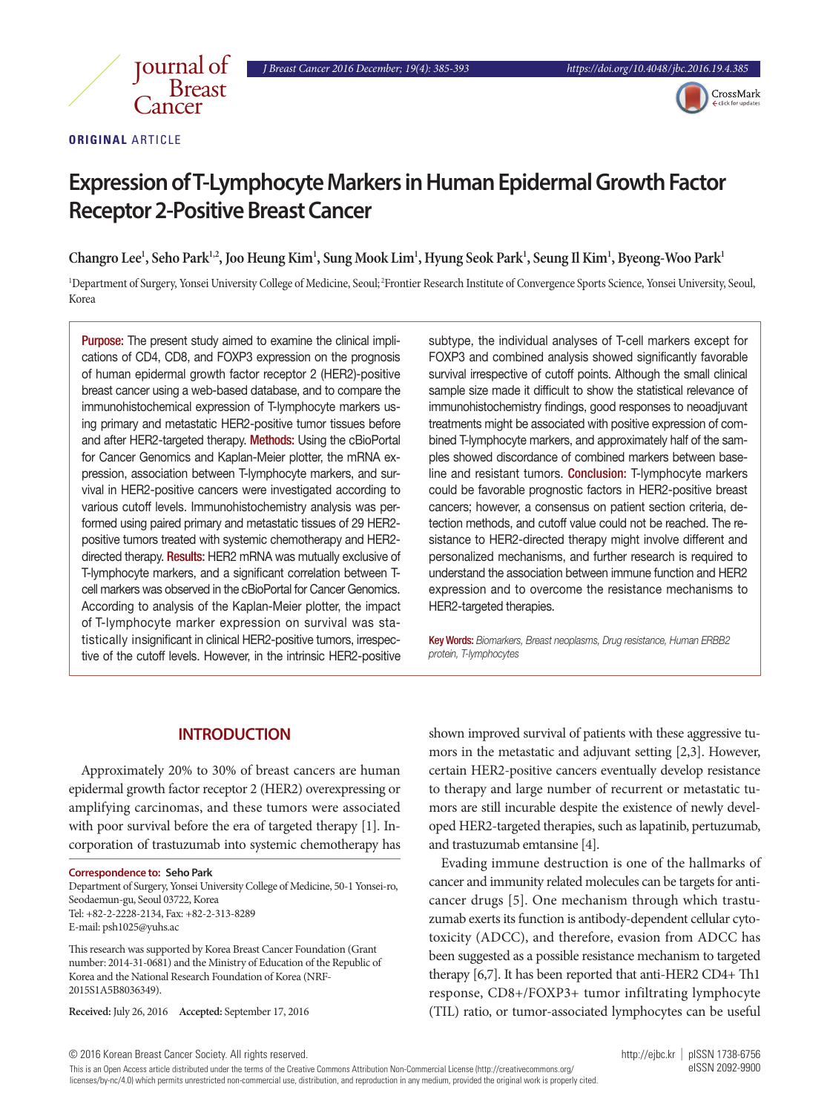

## **ORIGINAL** ARTICLE

# **Expression of T-Lymphocyte Markers in Human Epidermal Growth Factor Receptor 2-Positive Breast Cancer**

**Changro Lee1 , Seho Park1,2, Joo Heung Kim1 , Sung Mook Lim1 , Hyung Seok Park1 , Seung Il Kim1 , Byeong-Woo Park1**

1 Department of Surgery, Yonsei University College of Medicine, Seoul; 2Frontier Research Institute of Convergence Sports Science, Yonsei University, Seoul, Korea

Purpose: The present study aimed to examine the clinical implications of CD4, CD8, and FOXP3 expression on the prognosis of human epidermal growth factor receptor 2 (HER2)-positive breast cancer using a web-based database, and to compare the immunohistochemical expression of T-lymphocyte markers using primary and metastatic HER2-positive tumor tissues before and after HER2-targeted therapy. Methods: Using the cBioPortal for Cancer Genomics and Kaplan-Meier plotter, the mRNA expression, association between T-lymphocyte markers, and survival in HER2-positive cancers were investigated according to various cutoff levels. Immunohistochemistry analysis was performed using paired primary and metastatic tissues of 29 HER2 positive tumors treated with systemic chemotherapy and HER2 directed therapy. Results: HER2 mRNA was mutually exclusive of T-lymphocyte markers, and a significant correlation between Tcell markers was observed in the cBioPortal for Cancer Genomics. According to analysis of the Kaplan-Meier plotter, the impact of T-lymphocyte marker expression on survival was statistically insignificant in clinical HER2-positive tumors, irrespective of the cutoff levels. However, in the intrinsic HER2-positive

subtype, the individual analyses of T-cell markers except for FOXP3 and combined analysis showed significantly favorable survival irrespective of cutoff points. Although the small clinical sample size made it difficult to show the statistical relevance of immunohistochemistry findings, good responses to neoadjuvant treatments might be associated with positive expression of combined T-lymphocyte markers, and approximately half of the samples showed discordance of combined markers between baseline and resistant tumors. Conclusion: T-lymphocyte markers could be favorable prognostic factors in HER2-positive breast cancers; however, a consensus on patient section criteria, detection methods, and cutoff value could not be reached. The resistance to HER2-directed therapy might involve different and personalized mechanisms, and further research is required to understand the association between immune function and HER2 expression and to overcome the resistance mechanisms to HER2-targeted therapies.

Key Words: *Biomarkers, Breast neoplasms, Drug resistance, Human ERBB2 protein, T-lymphocytes* 

## **INTRODUCTION**

Approximately 20% to 30% of breast cancers are human epidermal growth factor receptor 2 (HER2) overexpressing or amplifying carcinomas, and these tumors were associated with poor survival before the era of targeted therapy [1]. Incorporation of trastuzumab into systemic chemotherapy has

#### **Correspondence to: Seho Park**

Department of Surgery, Yonsei University College of Medicine, 50-1 Yonsei-ro, Seodaemun-gu, Seoul 03722, Korea Tel: +82-2-2228-2134, Fax: +82-2-313-8289 E-mail: psh1025@yuhs.ac

This research was supported by Korea Breast Cancer Foundation (Grant number: 2014-31-0681) and the Ministry of Education of the Republic of Korea and the National Research Foundation of Korea (NRF-2015S1A5B8036349).

**Received:** July 26, 2016 **Accepted:** September 17, 2016

shown improved survival of patients with these aggressive tumors in the metastatic and adjuvant setting [2,3]. However, certain HER2-positive cancers eventually develop resistance to therapy and large number of recurrent or metastatic tumors are still incurable despite the existence of newly developed HER2-targeted therapies, such as lapatinib, pertuzumab, and trastuzumab emtansine [4].

Evading immune destruction is one of the hallmarks of cancer and immunity related molecules can be targets for anticancer drugs [5]. One mechanism through which trastuzumab exerts its function is antibody-dependent cellular cytotoxicity (ADCC), and therefore, evasion from ADCC has been suggested as a possible resistance mechanism to targeted therapy [6,7]. It has been reported that anti-HER2 CD4+ Th1 response, CD8+/FOXP3+ tumor infiltrating lymphocyte (TIL) ratio, or tumor-associated lymphocytes can be useful

This is an Open Access article distributed under the terms of the Creative Commons Attribution Non-Commercial License (http://creativecommons.org/ eISSN 2092-9900 licenses/by-nc/4.0) which permits unrestricted non-commercial use, distribution, and reproduction in any medium, provided the original work is properly cited.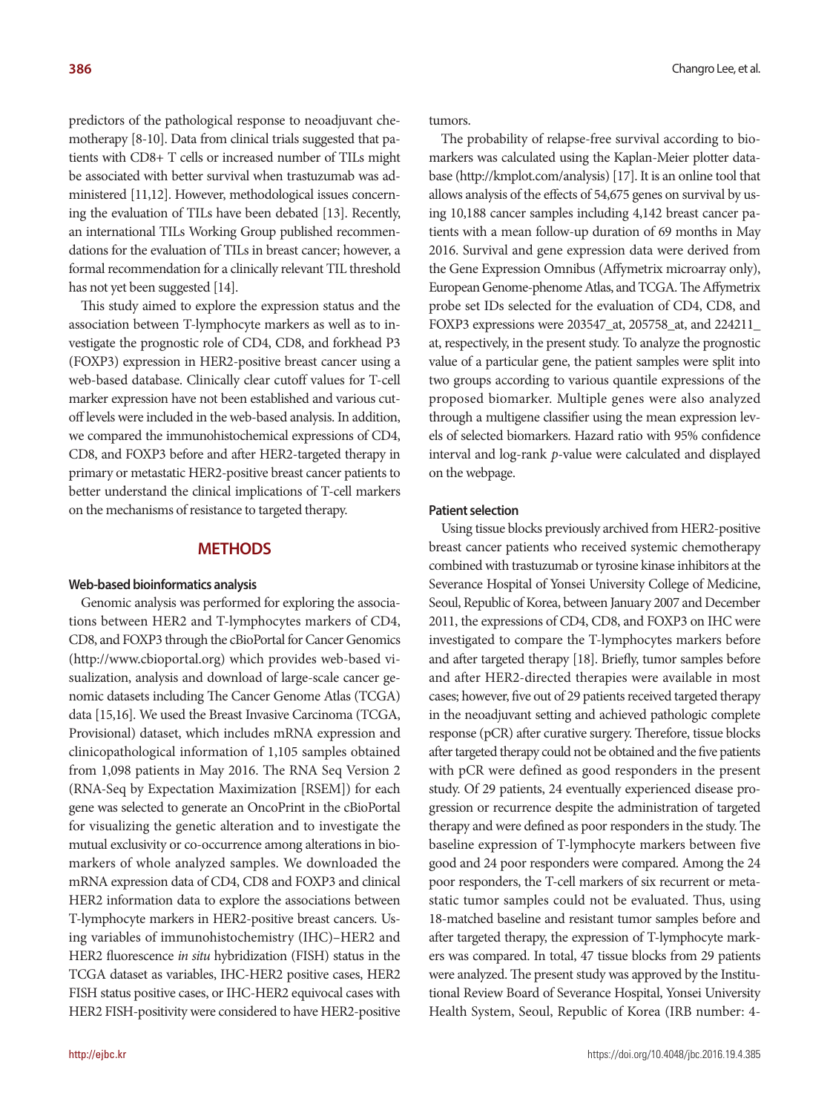predictors of the pathological response to neoadjuvant chemotherapy [8-10]. Data from clinical trials suggested that patients with CD8+ T cells or increased number of TILs might be associated with better survival when trastuzumab was administered [11,12]. However, methodological issues concerning the evaluation of TILs have been debated [13]. Recently, an international TILs Working Group published recommendations for the evaluation of TILs in breast cancer; however, a formal recommendation for a clinically relevant TIL threshold has not yet been suggested [14].

This study aimed to explore the expression status and the association between T-lymphocyte markers as well as to investigate the prognostic role of CD4, CD8, and forkhead P3 (FOXP3) expression in HER2-positive breast cancer using a web-based database. Clinically clear cutoff values for T-cell marker expression have not been established and various cutoff levels were included in the web-based analysis. In addition, we compared the immunohistochemical expressions of CD4, CD8, and FOXP3 before and after HER2-targeted therapy in primary or metastatic HER2-positive breast cancer patients to better understand the clinical implications of T-cell markers on the mechanisms of resistance to targeted therapy.

#### **METHODS**

#### **Web-based bioinformatics analysis**

Genomic analysis was performed for exploring the associations between HER2 and T-lymphocytes markers of CD4, CD8, and FOXP3 through the cBioPortal for Cancer Genomics (http://www.cbioportal.org) which provides web-based visualization, analysis and download of large-scale cancer genomic datasets including The Cancer Genome Atlas (TCGA) data [15,16]. We used the Breast Invasive Carcinoma (TCGA, Provisional) dataset, which includes mRNA expression and clinicopathological information of 1,105 samples obtained from 1,098 patients in May 2016. The RNA Seq Version 2 (RNA-Seq by Expectation Maximization [RSEM]) for each gene was selected to generate an OncoPrint in the cBioPortal for visualizing the genetic alteration and to investigate the mutual exclusivity or co-occurrence among alterations in biomarkers of whole analyzed samples. We downloaded the mRNA expression data of CD4, CD8 and FOXP3 and clinical HER2 information data to explore the associations between T-lymphocyte markers in HER2-positive breast cancers. Using variables of immunohistochemistry (IHC)–HER2 and HER2 fluorescence *in situ* hybridization (FISH) status in the TCGA dataset as variables, IHC-HER2 positive cases, HER2 FISH status positive cases, or IHC-HER2 equivocal cases with HER2 FISH-positivity were considered to have HER2-positive tumors.

The probability of relapse-free survival according to biomarkers was calculated using the Kaplan-Meier plotter database (http://kmplot.com/analysis) [17]. It is an online tool that allows analysis of the effects of 54,675 genes on survival by using 10,188 cancer samples including 4,142 breast cancer patients with a mean follow-up duration of 69 months in May 2016. Survival and gene expression data were derived from the Gene Expression Omnibus (Affymetrix microarray only), European Genome-phenome Atlas, and TCGA. The Affymetrix probe set IDs selected for the evaluation of CD4, CD8, and FOXP3 expressions were 203547\_at, 205758\_at, and 224211\_ at, respectively, in the present study. To analyze the prognostic value of a particular gene, the patient samples were split into two groups according to various quantile expressions of the proposed biomarker. Multiple genes were also analyzed through a multigene classifier using the mean expression levels of selected biomarkers. Hazard ratio with 95% confidence interval and log-rank *p*-value were calculated and displayed on the webpage.

#### **Patient selection**

Using tissue blocks previously archived from HER2-positive breast cancer patients who received systemic chemotherapy combined with trastuzumab or tyrosine kinase inhibitors at the Severance Hospital of Yonsei University College of Medicine, Seoul, Republic of Korea, between January 2007 and December 2011, the expressions of CD4, CD8, and FOXP3 on IHC were investigated to compare the T-lymphocytes markers before and after targeted therapy [18]. Briefly, tumor samples before and after HER2-directed therapies were available in most cases; however, five out of 29 patients received targeted therapy in the neoadjuvant setting and achieved pathologic complete response (pCR) after curative surgery. Therefore, tissue blocks after targeted therapy could not be obtained and the five patients with pCR were defined as good responders in the present study. Of 29 patients, 24 eventually experienced disease progression or recurrence despite the administration of targeted therapy and were defined as poor responders in the study. The baseline expression of T-lymphocyte markers between five good and 24 poor responders were compared. Among the 24 poor responders, the T-cell markers of six recurrent or metastatic tumor samples could not be evaluated. Thus, using 18-matched baseline and resistant tumor samples before and after targeted therapy, the expression of T-lymphocyte markers was compared. In total, 47 tissue blocks from 29 patients were analyzed. The present study was approved by the Institutional Review Board of Severance Hospital, Yonsei University Health System, Seoul, Republic of Korea (IRB number: 4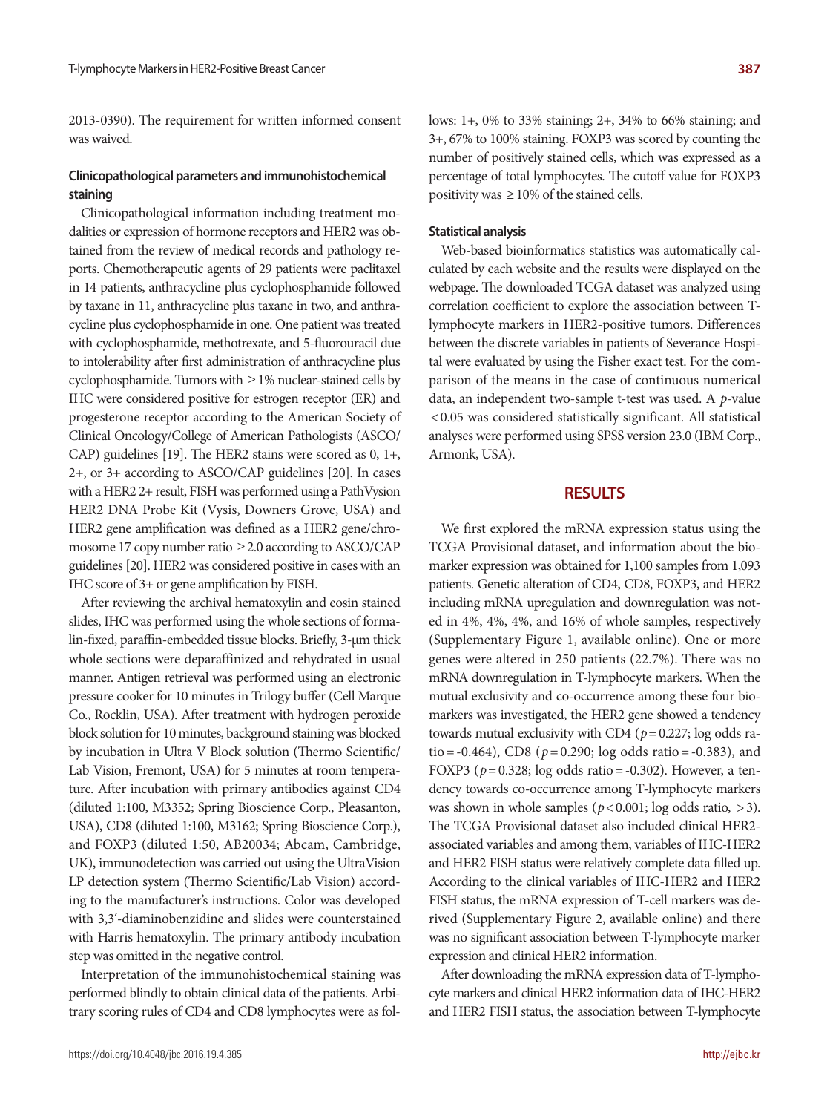2013-0390). The requirement for written informed consent was waived.

## **Clinicopathological parameters and immunohistochemical staining**

Clinicopathological information including treatment modalities or expression of hormone receptors and HER2 was obtained from the review of medical records and pathology reports. Chemotherapeutic agents of 29 patients were paclitaxel in 14 patients, anthracycline plus cyclophosphamide followed by taxane in 11, anthracycline plus taxane in two, and anthracycline plus cyclophosphamide in one. One patient was treated with cyclophosphamide, methotrexate, and 5-fluorouracil due to intolerability after first administration of anthracycline plus cyclophosphamide. Tumors with  $\geq$  1% nuclear-stained cells by IHC were considered positive for estrogen receptor (ER) and progesterone receptor according to the American Society of Clinical Oncology/College of American Pathologists (ASCO/ CAP) guidelines [19]. The HER2 stains were scored as 0, 1+, 2+, or 3+ according to ASCO/CAP guidelines [20]. In cases with a HER2 2+ result, FISH was performed using a PathVysion HER2 DNA Probe Kit (Vysis, Downers Grove, USA) and HER2 gene amplification was defined as a HER2 gene/chromosome 17 copy number ratio ≥ 2.0 according to ASCO/CAP guidelines [20]. HER2 was considered positive in cases with an IHC score of 3+ or gene amplification by FISH.

After reviewing the archival hematoxylin and eosin stained slides, IHC was performed using the whole sections of formalin-fixed, paraffin-embedded tissue blocks. Briefly, 3-µm thick whole sections were deparaffinized and rehydrated in usual manner. Antigen retrieval was performed using an electronic pressure cooker for 10 minutes in Trilogy buffer (Cell Marque Co., Rocklin, USA). After treatment with hydrogen peroxide block solution for 10 minutes, background staining was blocked by incubation in Ultra V Block solution (Thermo Scientific/ Lab Vision, Fremont, USA) for 5 minutes at room temperature. After incubation with primary antibodies against CD4 (diluted 1:100, M3352; Spring Bioscience Corp., Pleasanton, USA), CD8 (diluted 1:100, M3162; Spring Bioscience Corp.), and FOXP3 (diluted 1:50, AB20034; Abcam, Cambridge, UK), immunodetection was carried out using the UltraVision LP detection system (Thermo Scientific/Lab Vision) according to the manufacturer's instructions. Color was developed with 3,3´-diaminobenzidine and slides were counterstained with Harris hematoxylin. The primary antibody incubation step was omitted in the negative control.

Interpretation of the immunohistochemical staining was performed blindly to obtain clinical data of the patients. Arbitrary scoring rules of CD4 and CD8 lymphocytes were as follows: 1+, 0% to 33% staining; 2+, 34% to 66% staining; and 3+, 67% to 100% staining. FOXP3 was scored by counting the number of positively stained cells, which was expressed as a percentage of total lymphocytes. The cutoff value for FOXP3 positivity was  $\geq 10\%$  of the stained cells.

#### **Statistical analysis**

Web-based bioinformatics statistics was automatically calculated by each website and the results were displayed on the webpage. The downloaded TCGA dataset was analyzed using correlation coefficient to explore the association between Tlymphocyte markers in HER2-positive tumors. Differences between the discrete variables in patients of Severance Hospital were evaluated by using the Fisher exact test. For the comparison of the means in the case of continuous numerical data, an independent two-sample t-test was used. A *p*-value < 0.05 was considered statistically significant. All statistical analyses were performed using SPSS version 23.0 (IBM Corp., Armonk, USA).

#### **RESULTS**

We first explored the mRNA expression status using the TCGA Provisional dataset, and information about the biomarker expression was obtained for 1,100 samples from 1,093 patients. Genetic alteration of CD4, CD8, FOXP3, and HER2 including mRNA upregulation and downregulation was noted in 4%, 4%, 4%, and 16% of whole samples, respectively (Supplementary Figure 1, available online). One or more genes were altered in 250 patients (22.7%). There was no mRNA downregulation in T-lymphocyte markers. When the mutual exclusivity and co-occurrence among these four biomarkers was investigated, the HER2 gene showed a tendency towards mutual exclusivity with CD4 (*p*= 0.227; log odds ratio =  $-0.464$ ), CD8 ( $p = 0.290$ ; log odds ratio =  $-0.383$ ), and FOXP3 (*p*= 0.328; log odds ratio= -0.302). However, a tendency towards co-occurrence among T-lymphocyte markers was shown in whole samples ( $p < 0.001$ ; log odds ratio,  $> 3$ ). The TCGA Provisional dataset also included clinical HER2 associated variables and among them, variables of IHC-HER2 and HER2 FISH status were relatively complete data filled up. According to the clinical variables of IHC-HER2 and HER2 FISH status, the mRNA expression of T-cell markers was derived (Supplementary Figure 2, available online) and there was no significant association between T-lymphocyte marker expression and clinical HER2 information.

After downloading the mRNA expression data of T-lymphocyte markers and clinical HER2 information data of IHC-HER2 and HER2 FISH status, the association between T-lymphocyte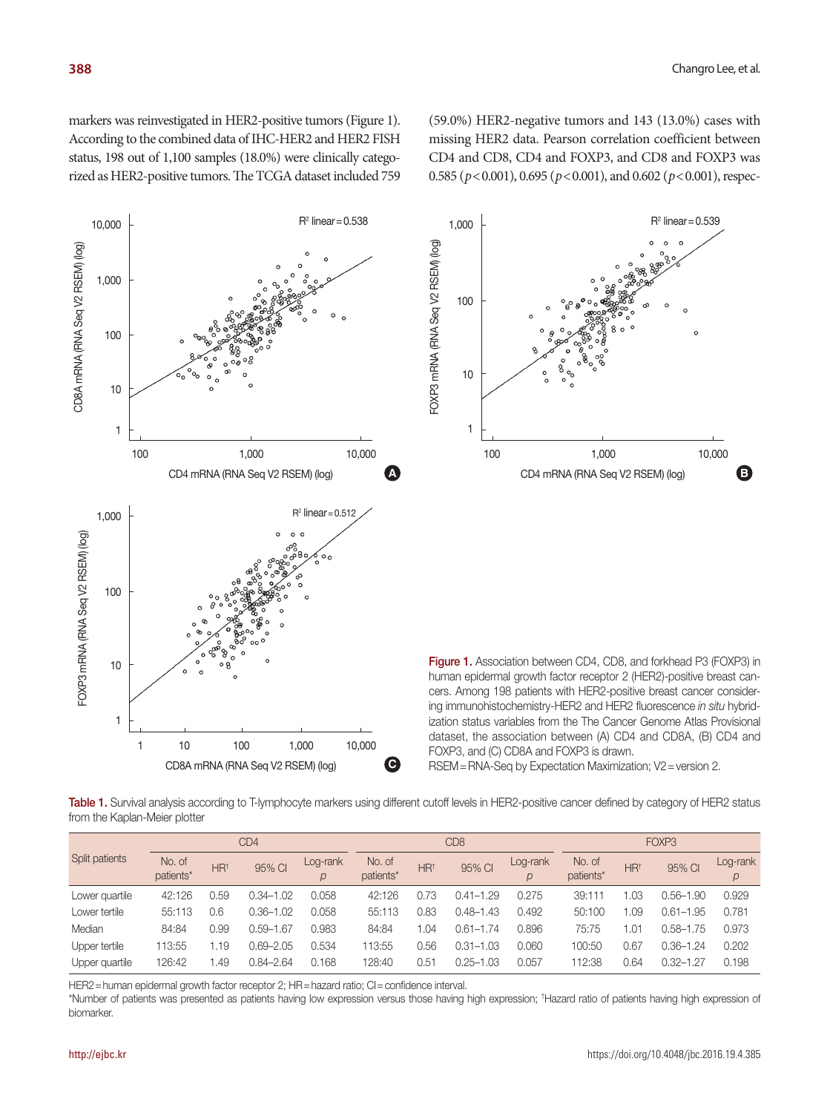markers was reinvestigated in HER2-positive tumors (Figure 1). According to the combined data of IHC-HER2 and HER2 FISH status, 198 out of 1,100 samples (18.0%) were clinically categorized as HER2-positive tumors. The TCGA dataset included 759 (59.0%) HER2-negative tumors and 143 (13.0%) cases with missing HER2 data. Pearson correlation coefficient between CD4 and CD8, CD4 and FOXP3, and CD8 and FOXP3 was 0.585 (*p*<0.001), 0.695 (*p*<0.001), and 0.602 (*p*<0.001), respec-





Figure 1. Association between CD4, CD8, and forkhead P3 (FOXP3) in human epidermal growth factor receptor 2 (HER2)-positive breast cancers. Among 198 patients with HER2-positive breast cancer considering immunohistochemistry-HER2 and HER2 fluorescence *in situ* hybridization status variables from the The Cancer Genome Atlas Provisional dataset, the association between (A) CD4 and CD8A, (B) CD4 and FOXP3, and (C) CD8A and FOXP3 is drawn.

RSEM=RNA-Seq by Expectation Maximization; V2 = version 2.

Table 1. Survival analysis according to T-lymphocyte markers using different cutoff levels in HER2-positive cancer defined by category of HER2 status from the Kaplan-Meier plotter

| Split patients | CD <sub>4</sub>     |                 |               |               | CD <sub>8</sub>     |                 |               |                           | FOXP <sub>3</sub>   |                 |               |          |
|----------------|---------------------|-----------------|---------------|---------------|---------------------|-----------------|---------------|---------------------------|---------------------|-----------------|---------------|----------|
|                | No. of<br>patients* | HR <sup>†</sup> | 95% CI        | Log-rank<br>p | No. of<br>patients* | HR <sup>†</sup> | 95% CI        | Log-rank<br>$\mathcal{D}$ | No. of<br>patients* | HR <sup>†</sup> | 95% CI        | Log-rank |
| Lower quartile | 42:126              | 0.59            | $0.34 - 1.02$ | 0.058         | 42:126              | 0.73            | $0.41 - 1.29$ | 0.275                     | 39:111              | .03             | 0.56–1.90     | 0.929    |
| Lower tertile  | 55:113              | 0.6             | $0.36 - 1.02$ | 0.058         | 55:113              | 0.83            | $0.48 - 1.43$ | 0.492                     | 50:100              | .09             | 0.61–1.95     | 0.781    |
| Median         | 84:84               | 0.99            | $0.59 - 1.67$ | 0.983         | 84:84               | 1.04            | $0.61 - 1.74$ | 0.896                     | 75:75               | .01             | 0.58-1.75     | 0.973    |
| Upper tertile  | 113:55              | .19             | 0.69-2.05     | 0.534         | 113:55              | 0.56            | $0.31 - 1.03$ | 0.060                     | 100:50              | 0.67            | $0.36 - 1.24$ | 0.202    |
| Upper quartile | 126:42              | .49             | $0.84 - 2.64$ | 0.168         | 128:40              | 0.51            | $0.25 - 1.03$ | 0.057                     | 112:38              | 0.64            | 0.32–1.27     | 0.198    |

HER2 = human epidermal growth factor receptor 2; HR = hazard ratio; CI = confidence interval.

\*Number of patients was presented as patients having low expression versus those having high expression; † Hazard ratio of patients having high expression of biomarker.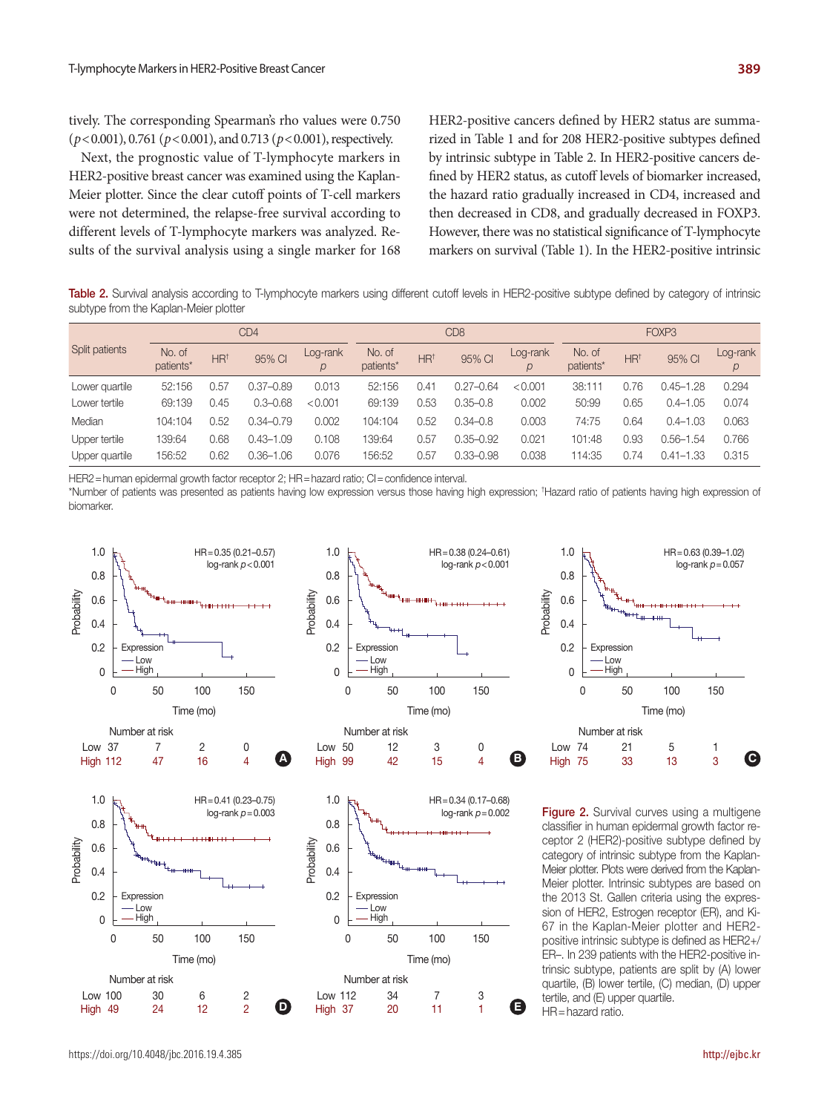tively. The corresponding Spearman's rho values were 0.750 (*p*<0.001), 0.761 (*p*<0.001), and 0.713 (*p*<0.001), respectively.

Next, the prognostic value of T-lymphocyte markers in HER2-positive breast cancer was examined using the Kaplan-Meier plotter. Since the clear cutoff points of T-cell markers were not determined, the relapse-free survival according to different levels of T-lymphocyte markers was analyzed. Results of the survival analysis using a single marker for 168 HER2-positive cancers defined by HER2 status are summarized in Table 1 and for 208 HER2-positive subtypes defined by intrinsic subtype in Table 2. In HER2-positive cancers defined by HER2 status, as cutoff levels of biomarker increased, the hazard ratio gradually increased in CD4, increased and then decreased in CD8, and gradually decreased in FOXP3. However, there was no statistical significance of T-lymphocyte markers on survival (Table 1). In the HER2-positive intrinsic

Table 2. Survival analysis according to T-lymphocyte markers using different cutoff levels in HER2-positive subtype defined by category of intrinsic subtype from the Kaplan-Meier plotter

| Split patients | CD4                 |                 |               |               | CD <sub>8</sub>     |                 |               |          | FOXP3               |                 |               |          |
|----------------|---------------------|-----------------|---------------|---------------|---------------------|-----------------|---------------|----------|---------------------|-----------------|---------------|----------|
|                | No. of<br>patients* | HR <sup>+</sup> | 95% CI        | Log-rank<br>р | No. of<br>patients* | HR <sup>†</sup> | 95% CI        | Log-rank | No. of<br>patients* | HR <sup>+</sup> | 95% CI        | Log-rank |
| Lower quartile | 52:156              | 0.57            | 0.37-0.89     | 0.013         | 52:156              | 0.41            | $0.27 - 0.64$ | < 0.001  | 38:111              | 0.76            | $0.45 - 1.28$ | 0.294    |
| Lower tertile  | 69:139              | 0.45            | $0.3 - 0.68$  | < 0.001       | 69:139              | 0.53            | $0.35 - 0.8$  | 0.002    | 50:99               | 0.65            | $0.4 - 1.05$  | 0.074    |
| Median         | 104:104             | 0.52            | $0.34 - 0.79$ | 0.002         | 104:104             | 0.52            | $0.34 - 0.8$  | 0.003    | 74:75               | 0.64            | $0.4 - 1.03$  | 0.063    |
| Upper tertile  | 139:64              | 0.68            | 0.43–1.09     | 0.108         | 139:64              | 0.57            | $0.35 - 0.92$ | 0.021    | 101:48              | 0.93            | $0.56 - 1.54$ | 0.766    |
| Upper quartile | 156:52              | 0.62            | 0.36-1.06     | 0.076         | 156:52              | 0.57            | 0.33-0.98     | 0.038    | 114:35              | 0.74            | $0.41 - 1.33$ | 0.315    |

HER2 = human epidermal growth factor receptor 2; HR = hazard ratio; CI = confidence interval.

\*Number of patients was presented as patients having low expression versus those having high expression; † Hazard ratio of patients having high expression of biomarker.





99 42 15 4

**B**

**High** 





**Figure 2.** Survival curves using a multigene classifier in human epidermal growth factor receptor 2 (HER2)-positive subtype defined by category of intrinsic subtype from the Kaplan-Meier plotter. Plots were derived from the Kaplan-Meier plotter. Intrinsic subtypes are based on the 2013 St. Gallen criteria using the expression of HER2, Estrogen receptor (ER), and Ki-67 in the Kaplan-Meier plotter and HER2 positive intrinsic subtype is defined as HER2+/ ER–. In 239 patients with the HER2-positive intrinsic subtype, patients are split by (A) lower quartile, (B) lower tertile, (C) median, (D) upper tertile, and (E) upper quartile. HR=hazard ratio.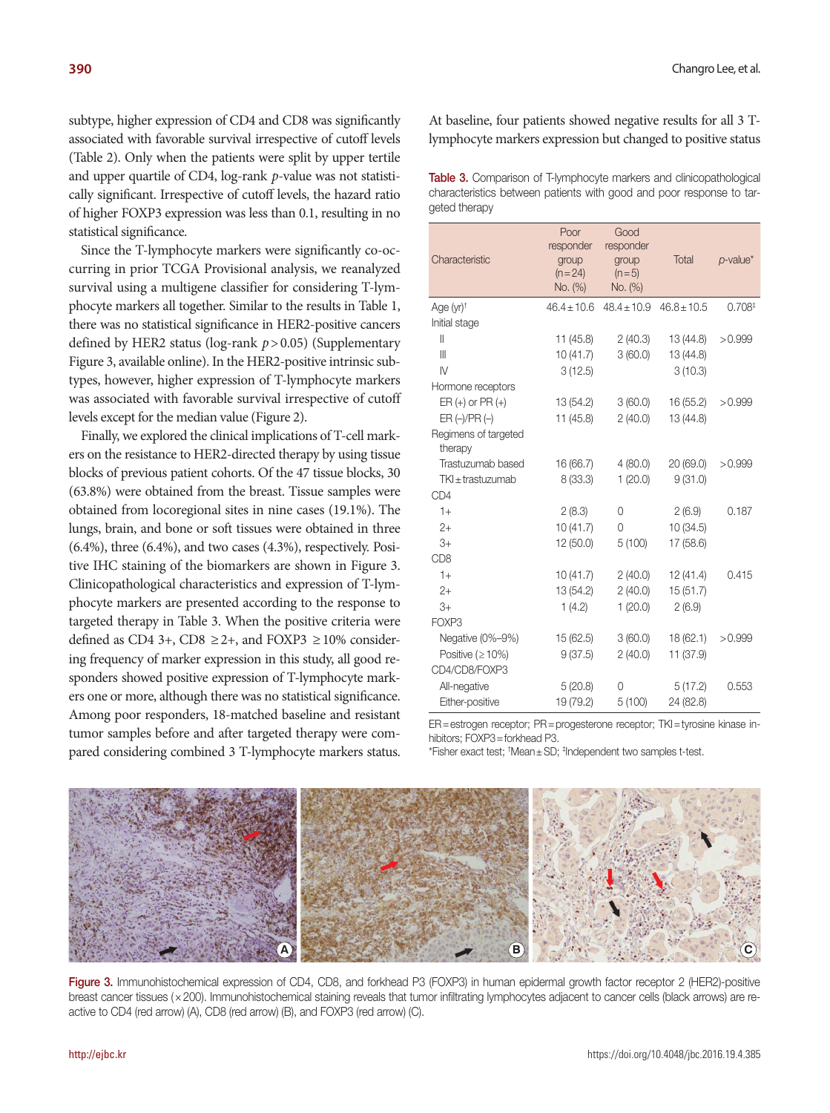subtype, higher expression of CD4 and CD8 was significantly associated with favorable survival irrespective of cutoff levels (Table 2). Only when the patients were split by upper tertile and upper quartile of CD4, log-rank *p*-value was not statistically significant. Irrespective of cutoff levels, the hazard ratio of higher FOXP3 expression was less than 0.1, resulting in no statistical significance.

Since the T-lymphocyte markers were significantly co-occurring in prior TCGA Provisional analysis, we reanalyzed survival using a multigene classifier for considering T-lymphocyte markers all together. Similar to the results in Table 1, there was no statistical significance in HER2-positive cancers defined by HER2 status (log-rank *p*> 0.05) (Supplementary Figure 3, available online). In the HER2-positive intrinsic subtypes, however, higher expression of T-lymphocyte markers was associated with favorable survival irrespective of cutoff levels except for the median value (Figure 2).

Finally, we explored the clinical implications of T-cell markers on the resistance to HER2-directed therapy by using tissue blocks of previous patient cohorts. Of the 47 tissue blocks, 30 (63.8%) were obtained from the breast. Tissue samples were obtained from locoregional sites in nine cases (19.1%). The lungs, brain, and bone or soft tissues were obtained in three (6.4%), three (6.4%), and two cases (4.3%), respectively. Positive IHC staining of the biomarkers are shown in Figure 3. Clinicopathological characteristics and expression of T-lymphocyte markers are presented according to the response to targeted therapy in Table 3. When the positive criteria were defined as CD4 3+, CD8  $\geq$ 2+, and FOXP3  $\geq$  10% considering frequency of marker expression in this study, all good responders showed positive expression of T-lymphocyte markers one or more, although there was no statistical significance. Among poor responders, 18-matched baseline and resistant tumor samples before and after targeted therapy were compared considering combined 3 T-lymphocyte markers status.

At baseline, four patients showed negative results for all 3 Tlymphocyte markers expression but changed to positive status

| <b>Table 3.</b> Comparison of T-lymphocyte markers and clinicopathological |
|----------------------------------------------------------------------------|
| characteristics between patients with good and poor response to tar-       |
| geted therapy                                                              |

| Characteristic                  | Poor<br>responder<br>group<br>$(n=24)$<br>No. (%) | Good<br>responder<br>group<br>$(n=5)$<br>No. (%) | Total           | $p$ -value*        |
|---------------------------------|---------------------------------------------------|--------------------------------------------------|-----------------|--------------------|
| Age $(yr)^+$                    | $46.4 \pm 10.6$                                   | $48.4 \pm 10.9$                                  | $46.8 \pm 10.5$ | 0.708 <sup>‡</sup> |
| Initial stage                   |                                                   |                                                  |                 |                    |
| $\mathsf{I}$                    | 11(45.8)                                          | 2(40.3)                                          | 13 (44.8)       | >0.999             |
| $\mathbb{I}$                    | 10(41.7)                                          | 3(60.0)                                          | 13 (44.8)       |                    |
| $\mathsf{N}$                    | 3(12.5)                                           |                                                  | 3(10.3)         |                    |
| Hormone receptors               |                                                   |                                                  |                 |                    |
| $ER (+)$ or $PR (+)$            | 13 (54.2)                                         | 3(60.0)                                          | 16 (55.2)       | >0.999             |
| $ER (-)/PR (-)$                 | 11(45.8)                                          | 2(40.0)                                          | 13 (44.8)       |                    |
| Regimens of targeted<br>therapy |                                                   |                                                  |                 |                    |
| Trastuzumab based               | 16 (66.7)                                         | 4(80.0)                                          | 20 (69.0)       | >0.999             |
| $TKI \pm$ trastuzumab           | 8(33.3)                                           | 1(20.0)                                          | 9(31.0)         |                    |
| CD <sub>4</sub>                 |                                                   |                                                  |                 |                    |
| $1+$                            | 2(8.3)                                            | 0                                                | 2(6.9)          | 0.187              |
| $2+$                            | 10(41.7)                                          | 0                                                | 10(34.5)        |                    |
| $3+$                            | 12 (50.0)                                         | 5(100)                                           | 17 (58.6)       |                    |
| CD <sub>8</sub>                 |                                                   |                                                  |                 |                    |
| $1+$                            | 10(41.7)                                          | 2(40.0)                                          | 12(41.4)        | 0.415              |
| $2+$                            | 13 (54.2)                                         | 2(40.0)                                          | 15(51.7)        |                    |
| $3+$                            | 1(4.2)                                            | 1(20.0)                                          | 2(6.9)          |                    |
| FOXP3                           |                                                   |                                                  |                 |                    |
| Negative (0%-9%)                | 15 (62.5)                                         | 3(60.0)                                          | 18 (62.1)       | >0.999             |
| Positive ( $\geq 10\%$ )        | 9(37.5)                                           | 2(40.0)                                          | 11 (37.9)       |                    |
| CD4/CD8/FOXP3                   |                                                   |                                                  |                 |                    |
| All-negative                    | 5(20.8)                                           | 0                                                | 5(17.2)         | 0.553              |
| Either-positive                 | 19 (79.2)                                         | 5(100)                                           | 24 (82.8)       |                    |

ER=estrogen receptor; PR=progesterone receptor; TKI=tyrosine kinase inhibitors; FOXP3=forkhead P3.

\*Fisher exact test; † Mean±SD; ‡ Independent two samples t-test.



Figure 3. Immunohistochemical expression of CD4, CD8, and forkhead P3 (FOXP3) in human epidermal growth factor receptor 2 (HER2)-positive breast cancer tissues (×200). Immunohistochemical staining reveals that tumor infiltrating lymphocytes adjacent to cancer cells (black arrows) are reactive to CD4 (red arrow) (A), CD8 (red arrow) (B), and FOXP3 (red arrow) (C).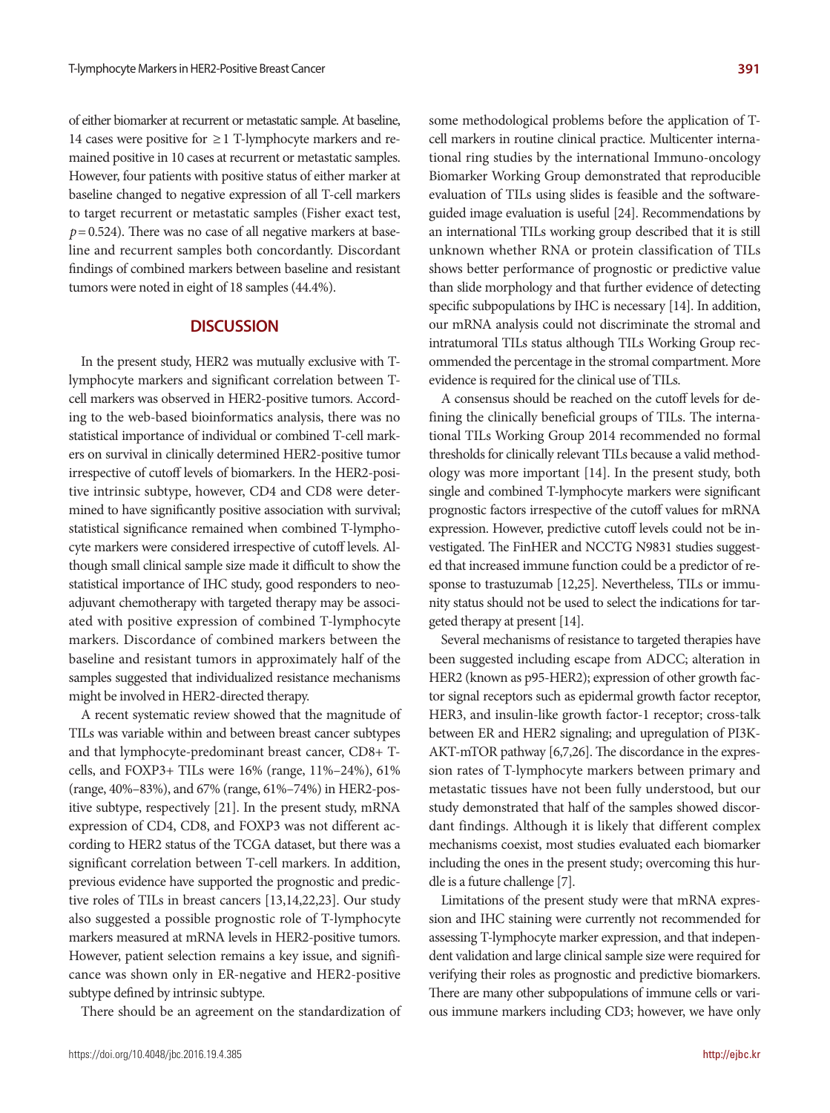of either biomarker at recurrent or metastatic sample. At baseline, 14 cases were positive for  $\geq$  1 T-lymphocyte markers and remained positive in 10 cases at recurrent or metastatic samples. However, four patients with positive status of either marker at baseline changed to negative expression of all T-cell markers to target recurrent or metastatic samples (Fisher exact test,  $p = 0.524$ ). There was no case of all negative markers at baseline and recurrent samples both concordantly. Discordant findings of combined markers between baseline and resistant tumors were noted in eight of 18 samples (44.4%).

## **DISCUSSION**

In the present study, HER2 was mutually exclusive with Tlymphocyte markers and significant correlation between Tcell markers was observed in HER2-positive tumors. According to the web-based bioinformatics analysis, there was no statistical importance of individual or combined T-cell markers on survival in clinically determined HER2-positive tumor irrespective of cutoff levels of biomarkers. In the HER2-positive intrinsic subtype, however, CD4 and CD8 were determined to have significantly positive association with survival; statistical significance remained when combined T-lymphocyte markers were considered irrespective of cutoff levels. Although small clinical sample size made it difficult to show the statistical importance of IHC study, good responders to neoadjuvant chemotherapy with targeted therapy may be associated with positive expression of combined T-lymphocyte markers. Discordance of combined markers between the baseline and resistant tumors in approximately half of the samples suggested that individualized resistance mechanisms might be involved in HER2-directed therapy.

A recent systematic review showed that the magnitude of TILs was variable within and between breast cancer subtypes and that lymphocyte-predominant breast cancer, CD8+ Tcells, and FOXP3+ TILs were 16% (range, 11%–24%), 61% (range, 40%–83%), and 67% (range, 61%–74%) in HER2-positive subtype, respectively [21]. In the present study, mRNA expression of CD4, CD8, and FOXP3 was not different according to HER2 status of the TCGA dataset, but there was a significant correlation between T-cell markers. In addition, previous evidence have supported the prognostic and predictive roles of TILs in breast cancers [13,14,22,23]. Our study also suggested a possible prognostic role of T-lymphocyte markers measured at mRNA levels in HER2-positive tumors. However, patient selection remains a key issue, and significance was shown only in ER-negative and HER2-positive subtype defined by intrinsic subtype.

There should be an agreement on the standardization of

some methodological problems before the application of Tcell markers in routine clinical practice. Multicenter international ring studies by the international Immuno-oncology Biomarker Working Group demonstrated that reproducible evaluation of TILs using slides is feasible and the softwareguided image evaluation is useful [24]. Recommendations by an international TILs working group described that it is still unknown whether RNA or protein classification of TILs shows better performance of prognostic or predictive value than slide morphology and that further evidence of detecting specific subpopulations by IHC is necessary [14]. In addition, our mRNA analysis could not discriminate the stromal and intratumoral TILs status although TILs Working Group recommended the percentage in the stromal compartment. More evidence is required for the clinical use of TILs.

A consensus should be reached on the cutoff levels for defining the clinically beneficial groups of TILs. The international TILs Working Group 2014 recommended no formal thresholds for clinically relevant TILs because a valid methodology was more important [14]. In the present study, both single and combined T-lymphocyte markers were significant prognostic factors irrespective of the cutoff values for mRNA expression. However, predictive cutoff levels could not be investigated. The FinHER and NCCTG N9831 studies suggested that increased immune function could be a predictor of response to trastuzumab [12,25]. Nevertheless, TILs or immunity status should not be used to select the indications for targeted therapy at present [14].

Several mechanisms of resistance to targeted therapies have been suggested including escape from ADCC; alteration in HER2 (known as p95-HER2); expression of other growth factor signal receptors such as epidermal growth factor receptor, HER3, and insulin-like growth factor-1 receptor; cross-talk between ER and HER2 signaling; and upregulation of PI3K-AKT-mTOR pathway [6,7,26]. The discordance in the expression rates of T-lymphocyte markers between primary and metastatic tissues have not been fully understood, but our study demonstrated that half of the samples showed discordant findings. Although it is likely that different complex mechanisms coexist, most studies evaluated each biomarker including the ones in the present study; overcoming this hurdle is a future challenge [7].

Limitations of the present study were that mRNA expression and IHC staining were currently not recommended for assessing T-lymphocyte marker expression, and that independent validation and large clinical sample size were required for verifying their roles as prognostic and predictive biomarkers. There are many other subpopulations of immune cells or various immune markers including CD3; however, we have only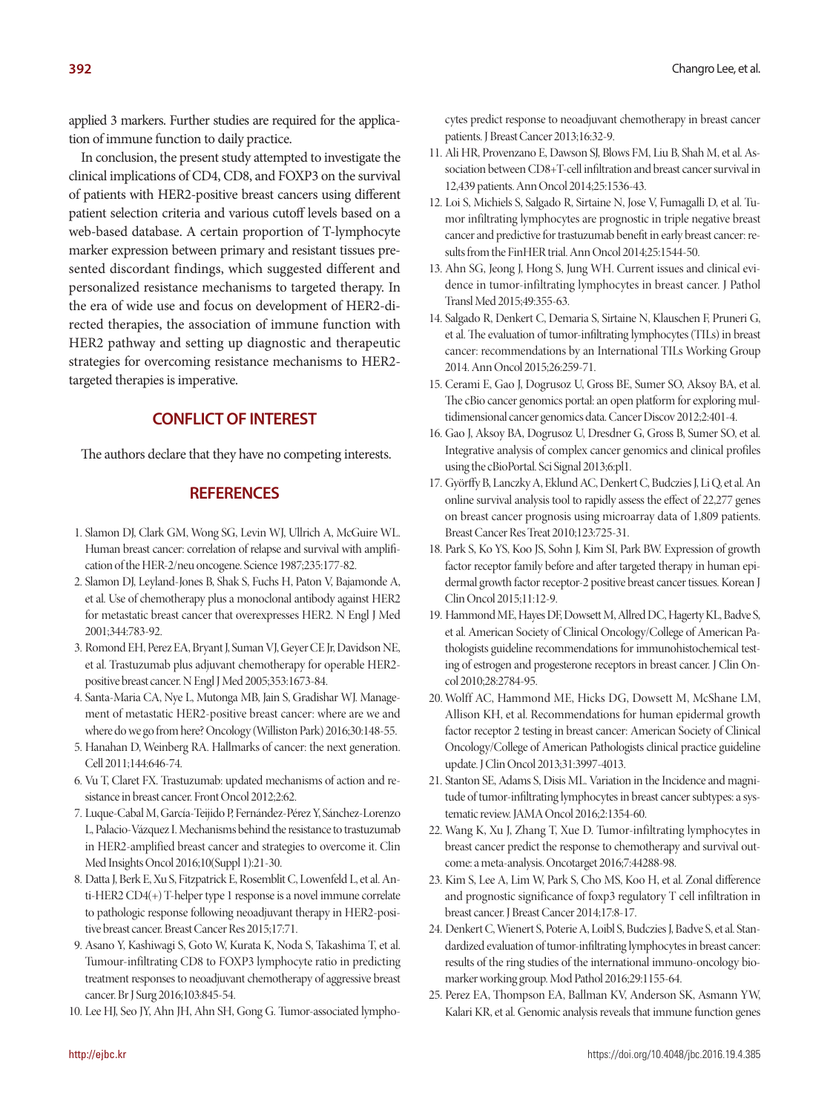applied 3 markers. Further studies are required for the application of immune function to daily practice.

In conclusion, the present study attempted to investigate the clinical implications of CD4, CD8, and FOXP3 on the survival of patients with HER2-positive breast cancers using different patient selection criteria and various cutoff levels based on a web-based database. A certain proportion of T-lymphocyte marker expression between primary and resistant tissues presented discordant findings, which suggested different and personalized resistance mechanisms to targeted therapy. In the era of wide use and focus on development of HER2-directed therapies, the association of immune function with HER2 pathway and setting up diagnostic and therapeutic strategies for overcoming resistance mechanisms to HER2 targeted therapies is imperative.

## **CONFLICT OF INTEREST**

The authors declare that they have no competing interests.

#### **REFERENCES**

- 1. Slamon DJ, Clark GM, Wong SG, Levin WJ, Ullrich A, McGuire WL. Human breast cancer: correlation of relapse and survival with amplification of the HER-2/neu oncogene. Science 1987;235:177-82.
- 2. Slamon DJ, Leyland-Jones B, Shak S, Fuchs H, Paton V, Bajamonde A, et al. Use of chemotherapy plus a monoclonal antibody against HER2 for metastatic breast cancer that overexpresses HER2. N Engl J Med 2001;344:783-92.
- 3. Romond EH, Perez EA, Bryant J, Suman VJ, Geyer CE Jr, Davidson NE, et al. Trastuzumab plus adjuvant chemotherapy for operable HER2 positive breast cancer. N Engl J Med 2005;353:1673-84.
- 4. Santa-Maria CA, Nye L, Mutonga MB, Jain S, Gradishar WJ. Management of metastatic HER2-positive breast cancer: where are we and where do we go from here? Oncology (Williston Park) 2016;30:148-55.
- 5. Hanahan D, Weinberg RA. Hallmarks of cancer: the next generation. Cell 2011;144:646-74.
- 6. Vu T, Claret FX. Trastuzumab: updated mechanisms of action and resistance in breast cancer. Front Oncol 2012;2:62.
- 7. Luque-Cabal M, García-Teijido P, Fernández-Pérez Y, Sánchez-Lorenzo L, Palacio-Vázquez I. Mechanisms behind the resistance to trastuzumab in HER2-amplified breast cancer and strategies to overcome it. Clin Med Insights Oncol 2016;10(Suppl 1):21-30.
- 8. Datta J, Berk E, Xu S, Fitzpatrick E, Rosemblit C, Lowenfeld L, et al. Anti-HER2 CD4(+) T-helper type 1 response is a novel immune correlate to pathologic response following neoadjuvant therapy in HER2-positive breast cancer. Breast Cancer Res 2015;17:71.
- 9. Asano Y, Kashiwagi S, Goto W, Kurata K, Noda S, Takashima T, et al. Tumour-infiltrating CD8 to FOXP3 lymphocyte ratio in predicting treatment responses to neoadjuvant chemotherapy of aggressive breast cancer. Br J Surg 2016;103:845-54.
- 10. Lee HJ, Seo JY, Ahn JH, Ahn SH, Gong G. Tumor-associated lympho-

cytes predict response to neoadjuvant chemotherapy in breast cancer patients. J Breast Cancer 2013;16:32-9.

- 11. Ali HR, Provenzano E, Dawson SJ, Blows FM, Liu B, Shah M, et al. Association between CD8+T-cell infiltration and breast cancer survival in 12,439 patients. Ann Oncol 2014;25:1536-43.
- 12. Loi S, Michiels S, Salgado R, Sirtaine N, Jose V, Fumagalli D, et al. Tumor infiltrating lymphocytes are prognostic in triple negative breast cancer and predictive for trastuzumab benefit in early breast cancer: results from the FinHER trial. Ann Oncol 2014;25:1544-50.
- 13. Ahn SG, Jeong J, Hong S, Jung WH. Current issues and clinical evidence in tumor-infiltrating lymphocytes in breast cancer. J Pathol Transl Med 2015;49:355-63.
- 14. Salgado R, Denkert C, Demaria S, Sirtaine N, Klauschen F, Pruneri G, et al. The evaluation of tumor-infiltrating lymphocytes (TILs) in breast cancer: recommendations by an International TILs Working Group 2014. Ann Oncol 2015;26:259-71.
- 15. Cerami E, Gao J, Dogrusoz U, Gross BE, Sumer SO, Aksoy BA, et al. The cBio cancer genomics portal: an open platform for exploring multidimensional cancer genomics data. Cancer Discov 2012;2:401-4.
- 16. Gao J, Aksoy BA, Dogrusoz U, Dresdner G, Gross B, Sumer SO, et al. Integrative analysis of complex cancer genomics and clinical profiles using the cBioPortal. Sci Signal 2013;6:pl1.
- 17. Györffy B, Lanczky A, Eklund AC, Denkert C, Budczies J, Li Q, et al. An online survival analysis tool to rapidly assess the effect of 22,277 genes on breast cancer prognosis using microarray data of 1,809 patients. Breast Cancer Res Treat 2010;123:725-31.
- 18. Park S, Ko YS, Koo JS, Sohn J, Kim SI, Park BW. Expression of growth factor receptor family before and after targeted therapy in human epidermal growth factor receptor-2 positive breast cancer tissues. Korean J Clin Oncol 2015;11:12-9.
- 19. Hammond ME, Hayes DF, Dowsett M, Allred DC, Hagerty KL, Badve S, et al. American Society of Clinical Oncology/College of American Pathologists guideline recommendations for immunohistochemical testing of estrogen and progesterone receptors in breast cancer. J Clin Oncol 2010;28:2784-95.
- 20. Wolff AC, Hammond ME, Hicks DG, Dowsett M, McShane LM, Allison KH, et al. Recommendations for human epidermal growth factor receptor 2 testing in breast cancer: American Society of Clinical Oncology/College of American Pathologists clinical practice guideline update. J Clin Oncol 2013;31:3997-4013.
- 21. Stanton SE, Adams S, Disis ML. Variation in the Incidence and magnitude of tumor-infiltrating lymphocytes in breast cancer subtypes: a systematic review. JAMA Oncol 2016;2:1354-60.
- 22. Wang K, Xu J, Zhang T, Xue D. Tumor-infiltrating lymphocytes in breast cancer predict the response to chemotherapy and survival outcome: a meta-analysis. Oncotarget 2016;7:44288-98.
- 23. Kim S, Lee A, Lim W, Park S, Cho MS, Koo H, et al. Zonal difference and prognostic significance of foxp3 regulatory T cell infiltration in breast cancer. J Breast Cancer 2014;17:8-17.
- 24. Denkert C, Wienert S, Poterie A, Loibl S, Budczies J, Badve S, et al. Standardized evaluation of tumor-infiltrating lymphocytes in breast cancer: results of the ring studies of the international immuno-oncology biomarker working group. Mod Pathol 2016;29:1155-64.
- 25. Perez EA, Thompson EA, Ballman KV, Anderson SK, Asmann YW, Kalari KR, et al. Genomic analysis reveals that immune function genes